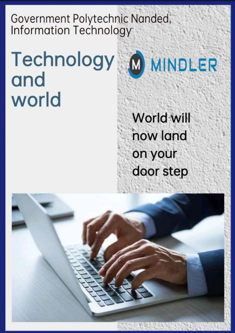Government Polytechnic Nanded, Information Technology

#### Technology M MINDLER and world



World will now land on your door step

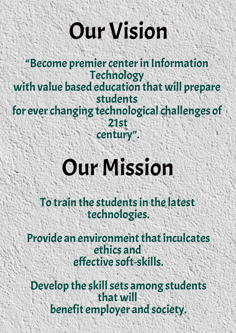# Our Vision

"Become premier center in Information Technology with value based education that will prepare students for ever changing technological challenges of 21st century".

# Our Mission

To train the students in the latest technologies.

 Provide an environment that inculcates ethics and effective soft-skills.

 Develop the skill sets among students that will benefit employer and society.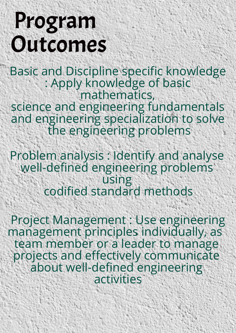# Program Outcomes

Basic and Discipline specific knowledge : Apply knowledge of basic mathematics, science and engineering fundamentals and engineering specialization to solve the engineering problems

Problem analysis : Identify and analyse well-defined engineering problems using codified standard methods

 Project Management : Use engineering management principles individually, as team member or a leader to manage projects and effectively communicate about well-defined engineering activities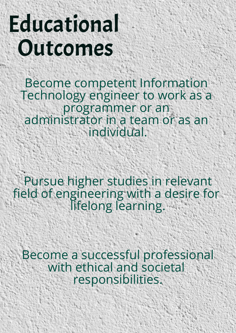# Educational Outcomes

Become competent Information Technology engineer to work as a programmer or an administrator in a team or as an individual.

 Pursue higher studies in relevant field of engineering with a desire for lifelong learning.

 Become a successful professional with ethical and societal responsibilities.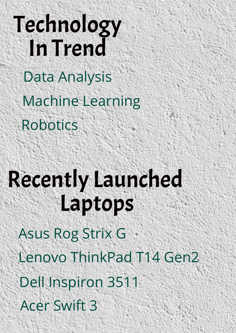# Technology In Trend Data Analysis Robotics Machine Learning

# Recently Launched Laptops

Asus Rog Strix G Lenovo ThinkPad T14 Gen2 Dell Inspiron 3511 Acer Swift 3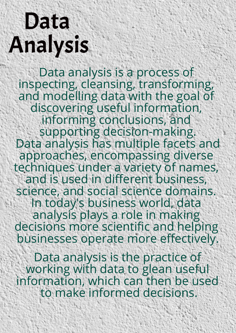# Data Analysis

Data analysis is a process of inspecting, cleansing, transforming, and modelling data with the goal of discovering useful information, informing conclusions, and supporting decision-making. Data analysis has multiple facets and approaches, encompassing diverse techniques under a variety of names, and is used in different business, science, and social science domains. In today's business world, data analysis plays a role in making decisions more scientific and helping businesses operate more effectively.

Data analysis is the practice of working with data to glean useful information, which can then be used to make informed decisions.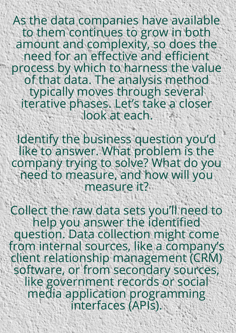As the data companies have available to them continues to grow in both amount and complexity, so does the need for an effective and efficient process by which to harness the value of that data. The analysis method typically moves through several iterative phases. Let's take a closer look at each.

Identify the business question you'd like to answer. What problem is the company trying to solve? What do you need to measure, and how will you measure it?

Collect the raw data sets you'll need to help you answer the identified question. Data collection might come from internal sources, like a company's client relationship management (CRM) software, or from secondary sources, like government records or social media application programming interfaces (APIs).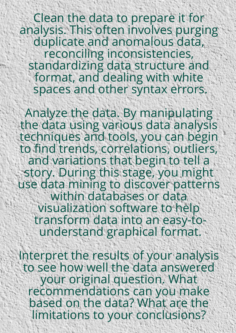Clean the data to prepare it for analysis. This often involves purging duplicate and anomalous data, reconciling inconsistencies, standardizing data structure and format, and dealing with white spaces and other syntax errors.

Analyze the data. By manipulating the data using various data analysis techniques and tools, you can begin to find trends, correlations, outliers, and variations that begin to tell a story. During this stage, you might use data mining to discover patterns within databases or data visualization software to help transform data into an easy-tounderstand graphical format.

Interpret the results of your analysis to see how well the data answered your original question. What recommendations can you make based on the data? What are the limitations to your conclusions?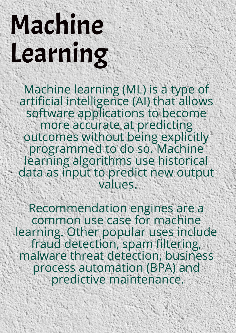# Machine Learning

Machine learning (ML) is a type of artificial intelligence (AI) that allows software applications to become more accurate at predicting outcomes without being explicitly programmed to do so. Machine learning algorithms use historical data as input to predict new output values.

Recommendation engines are a common use case for machine learning. Other popular uses include fraud detection, spam filtering, malware threat detection, business process automation (BPA) and predictive maintenance.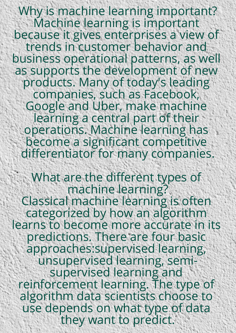Why is machine learning important? Machine learning is important because it gives enterprises a view of trends in customer behavior and business operational patterns, as well as supports the development of new products. Many of today's leading companies, such as Facebook, Google and Uber, make machine learning a central part of their operations. Machine learning has become a significant competitive differentiator for many companies.

What are the different types of machine learning? Classical machine learning is often categorized by how an algorithm learns to become more accurate in its predictions. There are four basic approaches:supervised learning, unsupervised learning, semisupervised learning and reinforcement learning. The type of algorithm data scientists choose to use depends on what type of data they want to predict.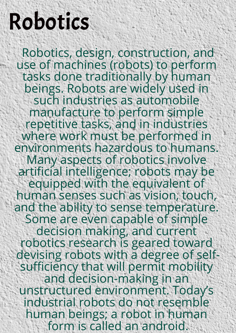## Robotics

 Robotics, design, construction, and use of machines (robots) to perform tasks done traditionally by human beings. Robots are widely used in such industries as automobile manufacture to perform simple repetitive tasks, and in industries where work must be performed in environments hazardous to humans. Many aspects of robotics involve artificial intelligence; robots may be equipped with the equivalent of human senses such as vision, touch, and the ability to sense temperature. Some are even capable of simple decision making, and current robotics research is geared toward devising robots with a degree of selfsufficiency that will permit mobility and decision-making in an unstructured environment. Today's industrial robots do not resemble human beings; a robot in human form is called an android.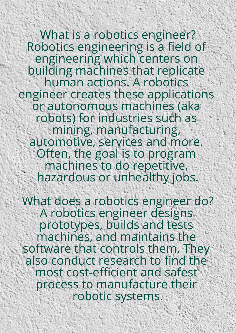What is a robotics engineer? Robotics engineering is a field of engineering which centers on building machines that replicate human actions. A robotics engineer creates these applications or autonomous machines (aka robots) for industries such as mining, manufacturing, automotive, services and more. Often, the goal is to program machines to do repetitive, hazardous or unhealthy jobs.

What does a robotics engineer do? A robotics engineer designs prototypes, builds and tests machines, and maintains the software that controls them. They also conduct research to find the most cost-efficient and safest process to manufacture their robotic systems.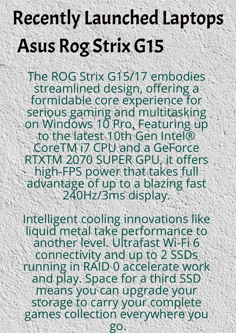# Asus Rog Strix G15 Recently Launched Laptops

The ROG Strix G15/17 embodies streamlined design, offering a formidable core experience for serious gaming and multitasking on Windows 10 Pro. Featuring up to the latest 10th Gen Intel® CoreTM i7 CPU and a GeForce RTXTM 2070 SUPER GPU, it offers high-FPS power that takes full advantage of up to a blazing fast 240Hz/3ms display.

Intelligent cooling innovations like liquid metal take performance to another level. Ultrafast Wi-Fi 6 connectivity and up to 2 SSDs running in RAID 0 accelerate work and play. Space for a third SSD means you can upgrade your storage to carry your complete games collection everywhere you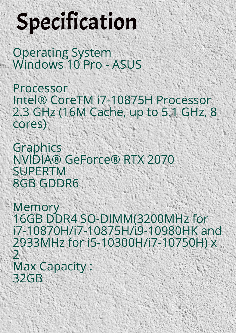# Specification

Operating System Windows 10 Pro - ASUS

Processor Intel® CoreTM i7-10875H Processor 2.3 GHz (16M Cache, up to 5.1 GHz, 8 cores)

Graphics NVIDIA® GeForce® RTX 2070 SUPERTM 8GB GDDR6

**Memory** 16GB DDR4 SO-DIMM(3200MHz for i7-10870H/i7-10875H/i9-10980HK and 2933MHz for i5-10300H/i7-10750H) x 2 Max Capacity : 32GB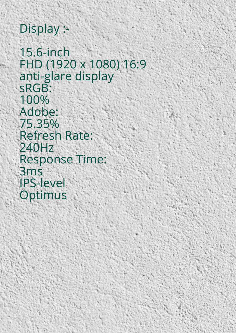#### Display :-

15.6-inch FHD (1920 x 1080) 16:9 anti-glare display sRGB: 100% Adobe: 75.35% Refresh Rate: 240Hz Response Time: 3ms IPS-level **Optimus**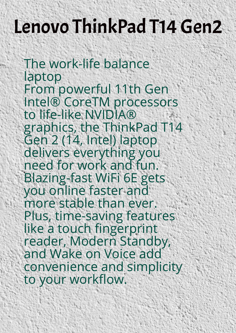### Lenovo ThinkPad T14 Gen2

The work-life balance laptop From powerful 11th Gen Intel® CoreTM processors to life-like NVIDIA® graphics, the ThinkPad T14 Gen 2 (14, Intel) laptop delivers everything you need for work and fun. Blazing-fast WiFi 6E gets you online faster and more stable than ever. Plus, time-saving features like a touch fingerprint reader, Modern Standby, and Wake on Voice add convenience and simplicity to your workflow.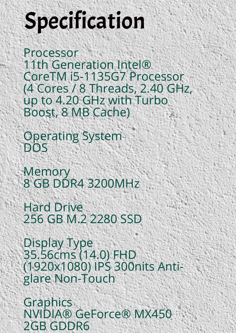# Specification

Processor 11th Generation Intel® CoreTM i5-1135G7 Processor (4 Cores / 8 Threads, 2.40 GHz, up to 4.20 GHz with Turbo Boost, 8 MB Cache)

Operating System DOS

**Memory** 8 GB DDR4 3200MHz

Hard Drive 256 GB M.2 2280 SSD

Display Type 35.56cms (14.0) FHD (1920x1080) IPS 300nits Antiglare Non-Touch

**Graphics** NVIDIA® GeForce® MX450 2GB GDDR6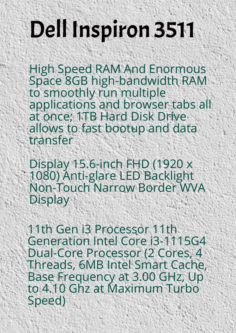# Dell Inspiron 3511

High Speed RAM And Enormous Space 8GB high-bandwidth RAM to smoothly run multiple applications and browser tabs all at once; 1TB Hard Disk Drive allows to fast bootup and data transfer

Display 15.6-inch FHD (1920 x 1080) Anti-glare LED Backlight Non-Touch Narrow Border WVA Display

11th Gen i3 Processor 11th Generation Intel Core i3-1115G4 Dual-Core Processor (2 Cores, 4 Threads, 6MB Intel Smart Cache, Base Frequency at 3.00 GHz, Up to 4.10 Ghz at Maximum Turbo Speed)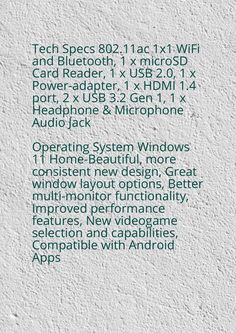Tech Specs 802.11ac 1x1 WiFi and Bluetooth, 1 x microSD Card Reader, 1 x USB 2.0, 1 x Power-adapter, 1 x HDMI 1.4 port, 2 x USB 3.2 Gen 1, 1 x Headphone & Microphone Audio Jack

Operating System Windows 11 Home-Beautiful, more consistent new design, Great window layout options, Better multi-monitor functionality, Improved performance features, New videogame selection and capabilities, Compatible with Android Apps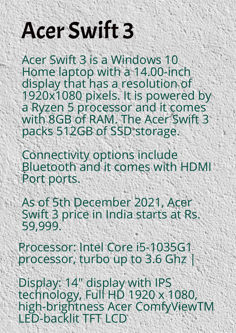# Acer Swift 3

Acer Swift 3 is a Windows 10 Home laptop with a 14.00-inch display that has a resolution of 1920x1080 pixels. It is powered by a Ryzen 5 processor and it comes with 8GB of RAM. The Acer Swift 3 packs 512GB of SSD storage.

Connectivity options include Bluetooth and it comes with HDMI Port ports.

As of 5th December 2021, Acer Swift 3 price in India starts at Rs. 59,999.

Processor: Intel Core i5-1035G1 processor, turbo up to 3.6 Ghz |

Display: 14" display with IPS technology, Full HD 1920 x 1080, high-brightness Acer ComfyViewTM LED-backlit TFT LCD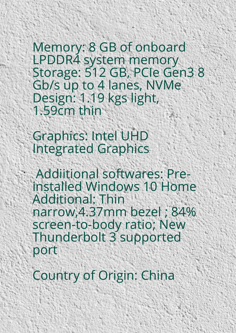Memory: 8 GB of onboard LPDDR4 system memory Storage: 512 GB, PCIe Gen3 8 Gb/s up to 4 lanes, NVMe Design: 1.19 kgs light, 1.59cm thin

Graphics: Intel UHD Integrated Graphics

 Addiitional softwares: Preinstalled Windows 10 Home Additional: Thin narrow,4.37mm bezel ; 84% screen-to-body ratio; New Thunderbolt 3 supported port

Country of Origin: China